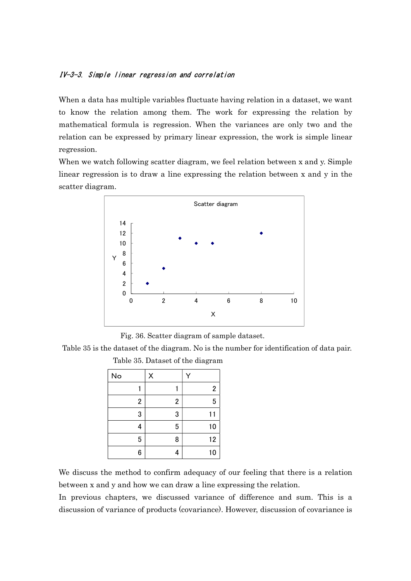## IV-3-3. Simple linear regression and correlation

When a data has multiple variables fluctuate having relation in a dataset, we want to know the relation among them. The work for expressing the relation by mathematical formula is regression. When the variances are only two and the relation can be expressed by primary linear expression, the work is simple linear regression.

When we watch following scatter diagram, we feel relation between x and y. Simple linear regression is to draw a line expressing the relation between x and y in the scatter diagram.



Fig. 36. Scatter diagram of sample dataset.

Table 35 is the dataset of the diagram. No is the number for identification of data pair.

| ${\sf No}$              | X                       |                |
|-------------------------|-------------------------|----------------|
|                         |                         | $\overline{2}$ |
| $\overline{\mathbf{c}}$ | $\overline{\mathbf{c}}$ | 5              |
| 3                       | 3                       | 11             |
| 4                       | 5                       | 10             |
| 5                       | 8                       | 12             |
| 6                       | 4                       | 10             |

Table 35. Dataset of the diagram

We discuss the method to confirm adequacy of our feeling that there is a relation between x and y and how we can draw a line expressing the relation.

In previous chapters, we discussed variance of difference and sum. This is a discussion of variance of products (covariance). However, discussion of covariance is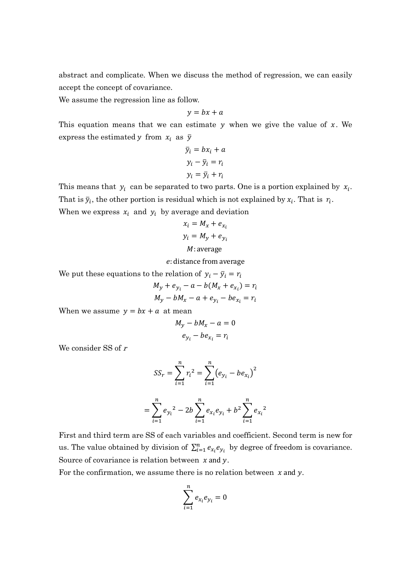abstract and complicate. When we discuss the method of regression, we can easily accept the concept of covariance.

We assume the regression line as follow.

$$
y = bx + a
$$

This equation means that we can estimate  $y$  when we give the value of  $x$ . We express the estimated y from  $x_i$  as  $\bar{y}$ 

$$
\overline{y}_i = bx_i + a
$$

$$
y_i - \overline{y}_i = r_i
$$

$$
y_i = \overline{y}_i + r_i
$$

This means that  $y_i$  can be separated to two parts. One is a portion explained by  $x_i$ . That is  $\bar{y}_i$ , the other portion is residual which is not explained by  $x_i$ . That is  $r_i$ . When we express  $x_i$  and  $y_i$  by average and deviation

$$
x_i = M_x + e_{x_i}
$$
  

$$
y_i = M_y + e_{y_i}
$$
  

$$
M: \text{average}
$$

: distance from average

We put these equations to the relation of  $y_i - \bar{y}_i = r_i$ 

$$
M_y + e_{y_i} - a - b(M_x + e_{x_i}) = r_i
$$
  

$$
M_y - bM_x - a + e_{y_i} - be_{x_i} = r_i
$$

When we assume  $y = bx + a$  at mean

$$
M_y - bM_x - a = 0
$$
  

$$
e_{y_i} - be_{x_i} = r_i
$$

We consider SS of  $r$ 

$$
SS_r = \sum_{i=1}^n r_i^2 = \sum_{i=1}^n (e_{y_i} - be_{x_i})^2
$$

$$
= \sum_{i=1}^n e_{y_i}^2 - 2b \sum_{i=1}^n e_{x_i}e_{y_i} + b^2 \sum_{i=1}^n e_{x_i}^2
$$

First and third term are SS of each variables and coefficient. Second term is new for us. The value obtained by division of  $\sum_{i=1}^{n} e_{x_i} e_{y_i}$  by degree of freedom is covariance. Source of covariance is relation between  $x$  and  $y$ .

For the confirmation, we assume there is no relation between  $x$  and  $y$ .

$$
\sum_{i=1}^n e_{x_i}e_{y_i}=0
$$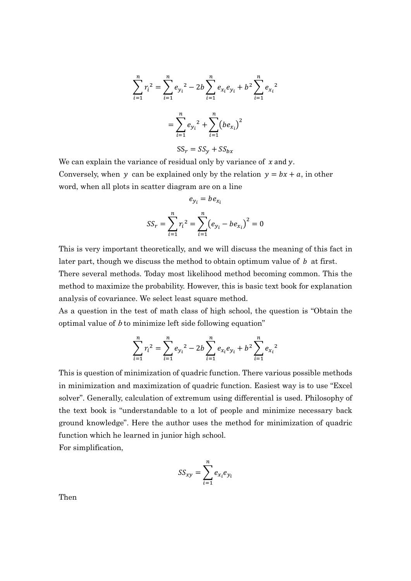$$
\sum_{i=1}^{n} r_i^2 = \sum_{i=1}^{n} e_{y_i^2} - 2b \sum_{i=1}^{n} e_{x_i} e_{y_i} + b^2 \sum_{i=1}^{n} e_{x_i^2}
$$

$$
= \sum_{i=1}^{n} e_{y_i^2} + \sum_{i=1}^{n} (b e_{x_i})^2
$$

$$
SS_r = SS_y + SS_{bx}
$$

We can explain the variance of residual only by variance of  $x$  and  $y$ . Conversely, when y can be explained only by the relation  $y = bx + a$ , in other word, when all plots in scatter diagram are on a line

$$
e_{y_i} = b e_{x_i}
$$

$$
SS_r = \sum_{i=1}^{n} r_i^2 = \sum_{i=1}^{n} (e_{y_i} - be_{x_i})^2 = 0
$$

This is very important theoretically, and we will discuss the meaning of this fact in later part, though we discuss the method to obtain optimum value of  $\boldsymbol{b}$  at first.

There several methods. Today most likelihood method becoming common. This the method to maximize the probability. However, this is basic text book for explanation analysis of covariance. We select least square method.

As a question in the test of math class of high school, the question is "Obtain the optimal value of  $b$  to minimize left side following equation"

$$
\sum_{i=1}^{n} r_i^2 = \sum_{i=1}^{n} e_{y_i^2} - 2b \sum_{i=1}^{n} e_{x_i} e_{y_i} + b^2 \sum_{i=1}^{n} e_{x_i^2}
$$

This is question of minimization of quadric function. There various possible methods in minimization and maximization of quadric function. Easiest way is to use "Excel solver". Generally, calculation of extremum using differential is used. Philosophy of the text book is "understandable to a lot of people and minimize necessary back ground knowledge". Here the author uses the method for minimization of quadric function which he learned in junior high school. For simplification,

$$
SS_{xy} = \sum_{i=1}^{n} e_{x_i} e_{y_i}
$$

Then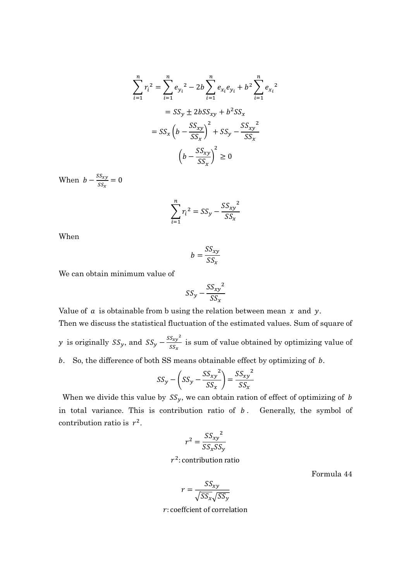$$
\sum_{i=1}^{n} r_i^2 = \sum_{i=1}^{n} e_{y_i}^2 - 2b \sum_{i=1}^{n} e_{x_i} e_{y_i} + b^2 \sum_{i=1}^{n} e_{x_i}^2
$$

$$
= SS_y \pm 2bSS_{xy} + b^2 SS_x
$$

$$
= SS_x \left(b - \frac{SS_{xy}}{SS_x}\right)^2 + SS_y - \frac{SS_{xy}^2}{SS_x}
$$

$$
\left(b - \frac{SS_{xy}}{SS_x}\right)^2 \ge 0
$$

When  $b - \frac{SS_{xy}}{cc}$  $\frac{SS_{xy}}{SS_x} = 0$ 

$$
\sum_{i=1}^{n} r_i^2 = SS_y - \frac{SS_{xy}^2}{SS_x}
$$

When

$$
b = \frac{SS_{xy}}{SS_x}
$$

We can obtain minimum value of

$$
SS_y - \frac{SS_{xy}^2}{SS_x}
$$

Value of  $a$  is obtainable from b using the relation between mean  $x$  and  $y$ . Then we discuss the statistical fluctuation of the estimated values. Sum of square of y is originally  $SS_y$ , and  $SS_y - \frac{SS_{xy}^2}{SS_{xy}}$  $\frac{Sxy}{SS_x}$  is sum of value obtained by optimizing value of

b. So, the difference of both SS means obtainable effect by optimizing of  $b$ .

$$
SS_{y} - \left( SS_{y} - \frac{SS_{xy}^{2}}{SS_{x}} \right) = \frac{SS_{xy}^{2}}{SS_{x}}
$$

When we divide this value by  $SS_y$ , we can obtain ration of effect of optimizing of b in total variance. This is contribution ratio of  $b$ . Generally, the symbol of contribution ratio is  $r^2$ .

$$
r^2 = \frac{SS_{xy}^2}{SS_xSS_y}
$$

# $r^2$ : contribution ratio

Formula 44

$$
r = \frac{SS_{xy}}{\sqrt{SS_x}\sqrt{SS_y}}
$$

: coeffcient of correlation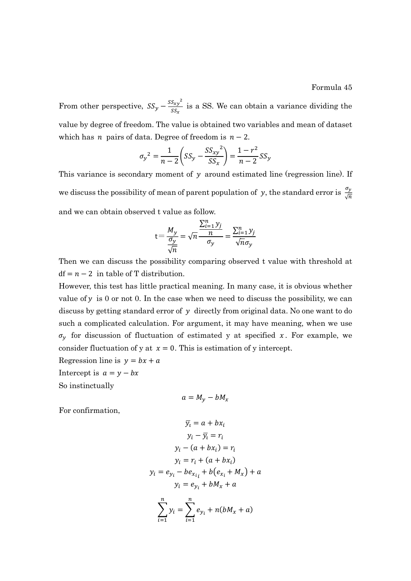Formula 45

From other perspective,  $SS_y - \frac{SS_{xy}^2}{SS}$  $\frac{Sxy}{SS_x}$  is a SS. We can obtain a variance dividing the value by degree of freedom. The value is obtained two variables and mean of dataset which has *n* pairs of data. Degree of freedom is  $n-2$ .

$$
\sigma_y^2 = \frac{1}{n-2} \left( S S_y - \frac{S S_{xy}^2}{S S_x} \right) = \frac{1 - r^2}{n-2} S S_y
$$

This variance is secondary moment of  $y$  around estimated line (regression line). If we discuss the possibility of mean of parent population of y, the standard error is  $\frac{\sigma_y}{\sqrt{n}}$ and we can obtain observed t value as follow.

$$
t = \frac{M_y}{\frac{\sigma_y}{\sqrt{n}}} = \sqrt{n} \frac{\frac{\sum_{i=1}^n y_j}{n}}{\sigma_y} = \frac{\sum_{i=1}^n y_j}{\sqrt{n} \sigma_y}
$$

Then we can discuss the possibility comparing observed t value with threshold at  $df = n - 2$  in table of T distribution.

However, this test has little practical meaning. In many case, it is obvious whether value of  $y$  is 0 or not 0. In the case when we need to discuss the possibility, we can discuss by getting standard error of  $y$  directly from original data. No one want to do such a complicated calculation. For argument, it may have meaning, when we use  $\sigma_{\nu}$  for discussion of fluctuation of estimated y at specified x. For example, we consider fluctuation of y at  $x = 0$ . This is estimation of y intercept.

Regression line is  $y = bx + a$ 

Intercept is  $a = y - bx$ 

So instinctually

$$
a=M_y-bM_x
$$

For confirmation,

$$
\overline{y_i} = a + bx_i
$$
  
\n
$$
y_i - \overline{y_i} = r_i
$$
  
\n
$$
y_i - (a + bx_i) = r_i
$$
  
\n
$$
y_i = r_i + (a + bx_i)
$$
  
\n
$$
y_i = e_{y_i} - be_{x_{i_i}} + b(e_{x_i} + M_x) + a
$$
  
\n
$$
y_i = e_{y_i} + bM_x + a
$$
  
\n
$$
\sum_{i=1}^n y_i = \sum_{i=1}^n e_{y_i} + n(bM_x + a)
$$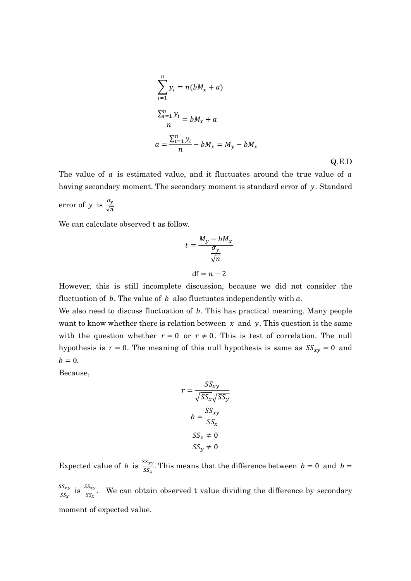$$
\sum_{i=1}^{n} y_i = n(bM_x + a)
$$
  

$$
\frac{\sum_{i=1}^{n} y_i}{n} = bM_x + a
$$
  

$$
a = \frac{\sum_{i=1}^{n} y_i}{n} - bM_x = M_y - bM_x
$$
 Q.E.D

The value of  $a$  is estimated value, and it fluctuates around the true value of  $a$ having secondary moment. The secondary moment is standard error of  $y$ . Standard error of y is  $\frac{\sigma_y}{\sqrt{n}}$ 

We can calculate observed t as follow.

$$
t = \frac{M_y - bM_x}{\frac{\sigma_y}{\sqrt{n}}}
$$
  
df = n - 2

However, this is still incomplete discussion, because we did not consider the fluctuation of  $b$ . The value of  $b$  also fluctuates independently with  $a$ .

We also need to discuss fluctuation of  $b$ . This has practical meaning. Many people want to know whether there is relation between  $x$  and  $y$ . This question is the same with the question whether  $r = 0$  or  $r \neq 0$ . This is test of correlation. The null hypothesis is  $r = 0$ . The meaning of this null hypothesis is same as  $SS_{xy} = 0$  and  $b = 0.$ 

Because,

$$
r = \frac{SS_{xy}}{\sqrt{SS_x}\sqrt{SS_y}}
$$

$$
b = \frac{SS_{xy}}{SS_x}
$$

$$
SS_x \neq 0
$$

$$
SS_y \neq 0
$$

Expected value of *b* is  $\frac{SS_{xy}}{SS_x}$ . This means that the difference between  $b = 0$  and  $b = 0$ 

 $SS_{xy}$  $\frac{SS_{xy}}{SS_x}$  is  $\frac{SS_{xy}}{SS_x}$ . We can obtain observed t value dividing the difference by secondary moment of expected value.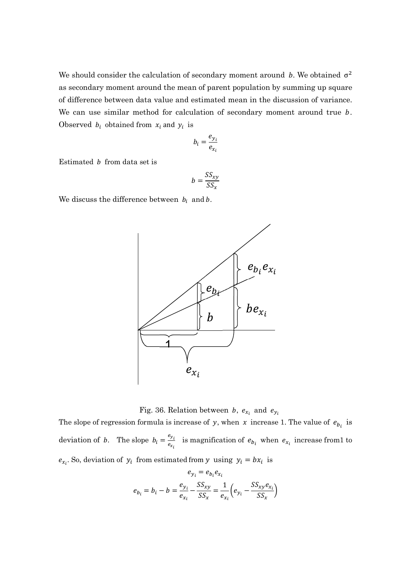We should consider the calculation of secondary moment around b. We obtained  $\sigma^2$ as secondary moment around the mean of parent population by summing up square of difference between data value and estimated mean in the discussion of variance. We can use similar method for calculation of secondary moment around true  $b$ . Observed  $b_i$  obtained from  $x_i$  and  $y_i$  is

$$
b_i = \frac{e_{y_i}}{e_{x_i}}
$$

Estimated  *from data set is* 

$$
b = \frac{SS_{xy}}{SS_x}
$$

We discuss the difference between  $b_i$  and b.



Fig. 36. Relation between *b*,  $e_{x_i}$  and  $e_{y_i}$ 

The slope of regression formula is increase of y, when x increase 1. The value of  $e_{b_i}$  is deviation of *b*. The slope  $b_i = \frac{e_{y_i}}{e_{y_i}}$  $\frac{e_{y_i}}{e_{x_i}}$  is magnification of  $e_{b_i}$  when  $e_{x_i}$  increase from 1 to  $e_{x_i}$ . So, deviation of  $y_i$  from estimated from y using  $y_i = bx_i$  is

$$
e_{y_i} = e_{b_i} e_{x_i}
$$

$$
e_{b_i} = b_i - b = \frac{e_{y_i}}{e_{x_i}} - \frac{SS_{xy}}{SS_x} = \frac{1}{e_{x_i}} \left( e_{y_i} - \frac{SS_{xy} e_{x_i}}{SS_x} \right)
$$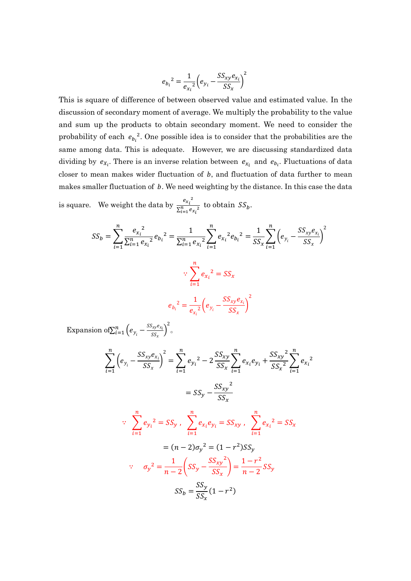$$
e_{b_i}^2 = \frac{1}{e_{x_i}^2} \left(e_{y_i} - \frac{SS_{xy}e_{x_i}}{SS_x}\right)^2
$$

This is square of difference of between observed value and estimated value. In the discussion of secondary moment of average. We multiply the probability to the value and sum up the products to obtain secondary moment. We need to consider the probability of each  $e_{b_i}^2$ . One possible idea is to consider that the probabilities are the same among data. This is adequate. However, we are discussing standardized data dividing by  $e_{X_i}$ . There is an inverse relation between  $e_{X_i}$  and  $e_{b_i}$ . Fluctuations of data closer to mean makes wider fluctuation of  $b$ , and fluctuation of data further to mean makes smaller fluctuation of  $b$ . We need weighting by the distance. In this case the data

is square. We weight the data by  $\frac{e_{x_i}^2}{\pi n}$  $\frac{c_{x_i}}{\sum_{i=1}^n e_{x_i}^2}$  to obtain  $SS_b$ .

$$
SS_b = \sum_{i=1}^{n} \frac{e_{x_i}^2}{\sum_{i=1}^{n} e_{x_i}^2} e_{b_i}^2 = \frac{1}{\sum_{i=1}^{n} e_{x_i}^2} \sum_{i=1}^{n} e_{x_i}^2 e_{b_i}^2 = \frac{1}{SS_x} \sum_{i=1}^{n} \left( e_{y_i} - \frac{SS_{xy}e_{x_i}}{SS_x} \right)^2
$$
  

$$
\therefore \sum_{i=1}^{n} e_{x_i}^2 = SS_x
$$
  

$$
e_{b_i}^2 = \frac{1}{e_{x_i}^2} \left( e_{y_i} - \frac{SS_{xy}e_{x_i}}{SS_x} \right)^2
$$

Expansion of  $\sum_{i=1}^{n} \left(e_{y_i} - \frac{SS_{xy}e_{x_i}}{SS_x}\right)$  $\prod_{i=1}^n \Big(e_{y_i}-\frac{\mathit{SS}_{\mathit{xy}}e_{x_i}}{\mathit{SS}_{\mathit{x}}}\Big)^2$  o

$$
\sum_{i=1}^{n} \left( e_{y_i} - \frac{SS_{xy}e_{x_i}}{SS_x} \right)^2 = \sum_{i=1}^{n} e_{y_i}^2 - 2 \frac{SS_{xy}}{SS_x} \sum_{i=1}^{n} e_{x_i}e_{y_i} + \frac{SS_{xy}^2}{SS_x^2} \sum_{i=1}^{n} e_{x_i}^2
$$

$$
= SS_y - \frac{SS_{xy}^2}{SS_x}
$$

$$
\therefore \sum_{i=1}^{n} e_{y_i}^2 = SS_y, \quad \sum_{i=1}^{n} e_{x_i}e_{y_i} = SS_{xy}, \quad \sum_{i=1}^{n} e_{x_i}^2 = SS_x
$$

$$
= (n-2)\sigma_y^2 = (1-r^2)SS_y
$$

$$
\therefore \quad \sigma_y^2 = \frac{1}{n-2} \left( SS_y - \frac{SS_{xy}^2}{SS_x} \right) = \frac{1-r^2}{n-2}SS_y
$$

$$
SS_b = \frac{SS_y}{SS_x} (1-r^2)
$$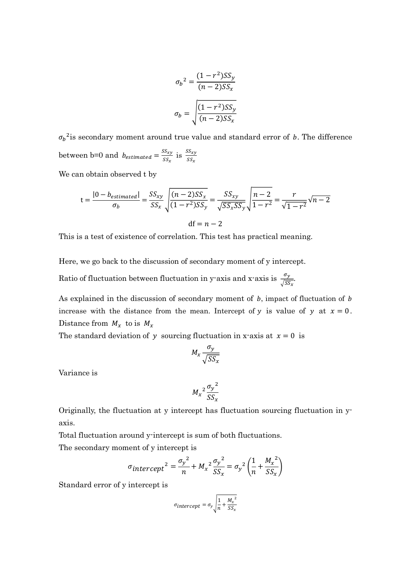$$
\sigma_b^2 = \frac{(1 - r^2)SS_y}{(n - 2)SS_x}
$$

$$
\sigma_b = \sqrt{\frac{(1 - r^2)SS_y}{(n - 2)SS_x}}
$$

 ${\sigma_b}^2$  is secondary moment around true value and standard error of b. The difference between b=0 and  $b_{estimated} = \frac{SS_{xy}}{ss}$  $\frac{SS_{xy}}{SS_x}$  is  $\frac{SS_{xy}}{SS_x}$ 

We can obtain observed t by

$$
t = \frac{|0 - b_{estimated}|}{\sigma_b} = \frac{SS_{xy}}{SS_x} \sqrt{\frac{(n-2)SS_x}{(1-r^2)SS_y}} = \frac{SS_{xy}}{\sqrt{SS_xSS_y}} \sqrt{\frac{n-2}{1-r^2}} = \frac{r}{\sqrt{1-r^2}} \sqrt{n-2}
$$
  
df = n - 2

This is a test of existence of correlation. This test has practical meaning.

Here, we go back to the discussion of secondary moment of y intercept.

Ratio of fluctuation between fluctuation in y-axis and x-axis is  $\frac{\sigma_y}{\sqrt{SS_x}}$ .

As explained in the discussion of secondary moment of  $b$ , impact of fluctuation of  $b$ increase with the distance from the mean. Intercept of y is value of y at  $x = 0$ . Distance from  $M_x$  to is  $M_x$ 

The standard deviation of y sourcing fluctuation in x-axis at  $x = 0$  is

$$
M_x \frac{\sigma_y}{\sqrt{SS_x}}
$$

Variance is

$$
{M_x}^2 \frac{{{\sigma_y}}^2}{SS_x}
$$

Originally, the fluctuation at y intercept has fluctuation sourcing fluctuation in yaxis.

Total fluctuation around y-intercept is sum of both fluctuations.

The secondary moment of y intercept is

$$
\sigma_{intercept}^2 = \frac{{\sigma_y}^2}{n} + M_x^2 \frac{{\sigma_y}^2}{SS_x} = {\sigma_y}^2 \left(\frac{1}{n} + \frac{M_x^2}{SS_x}\right)
$$

Standard error of y intercept is

$$
\sigma_{intercept} = \sigma_y \sqrt{\frac{1}{n} + \frac{M_x^2}{SS_x}}
$$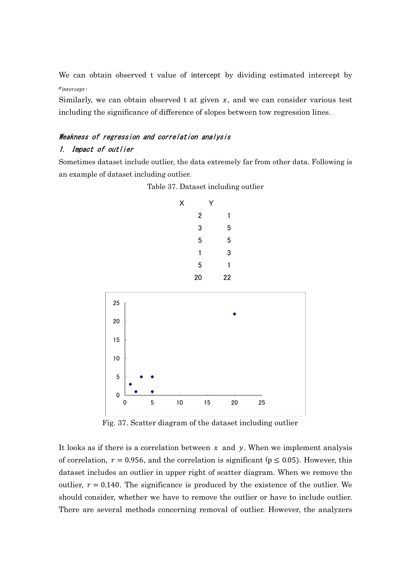We can obtain observed t value of intercept by dividing estimated intercept by  $\sigma$ intercept $\cdot$ 

Similarly, we can obtain observed t at given  $x$ , and we can consider various test including the significance of difference of slopes between tow regression lines.

# Weakness of regression and correlation analysis

#### 1. Impact of outlier

Sometimes dataset include outlier, the data extremely far from other data. Following is an example of dataset including outlier.





Fig. 37. Scatter diagram of the dataset including outlier

It looks as if there is a correlation between  $x$  and  $y$ . When we implement analysis of correlation,  $r = 0.956$ , and the correlation is significant ( $p \le 0.05$ ). However, this dataset includes an outlier in upper right of scatter diagram. When we remove the outlier,  $r = 0.140$ . The significance is produced by the existence of the outlier. We should consider, whether we have to remove the outlier or have to include outlier. There are several methods concerning removal of outlier. However, the analyzers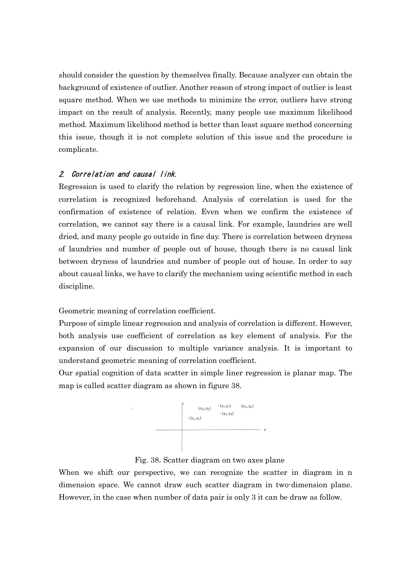should consider the question by themselves finally. Because analyzer can obtain the background of existence of outlier. Another reason of strong impact of outlier is least square method. When we use methods to minimize the error, outliers have strong impact on the result of analysis. Recently, many people use maximum likelihood method. Maximum likelihood method is better than least square method concerning this issue, though it is not complete solution of this issue and the procedure is complicate.

## 2. Correlation and causal link.

Regression is used to clarify the relation by regression line, when the existence of correlation is recognized beforehand. Analysis of correlation is used for the confirmation of existence of relation. Even when we confirm the existence of correlation, we cannot say there is a causal link. For example, laundries are well dried, and many people go outside in fine day. There is correlation between dryness of laundries and number of people out of house, though there is no causal link between dryness of laundries and number of people out of house. In order to say about causal links, we have to clarify the mechanism using scientific method in each discipline.

Geometric meaning of correlation coefficient.

Purpose of simple linear regression and analysis of correlation is different. However, both analysis use coefficient of correlation as key element of analysis. For the expansion of our discussion to multiple variance analysis. It is important to understand geometric meaning of correlation coefficient.

Our spatial cognition of data scatter in simple liner regression is planar map. The map is called scatter diagram as shown in figure 38.



Fig. 38. Scatter diagram on two axes plane

When we shift our perspective, we can recognize the scatter in diagram in n dimension space. We cannot draw such scatter diagram in two-dimension plane. However, in the case when number of data pair is only 3 it can be draw as follow.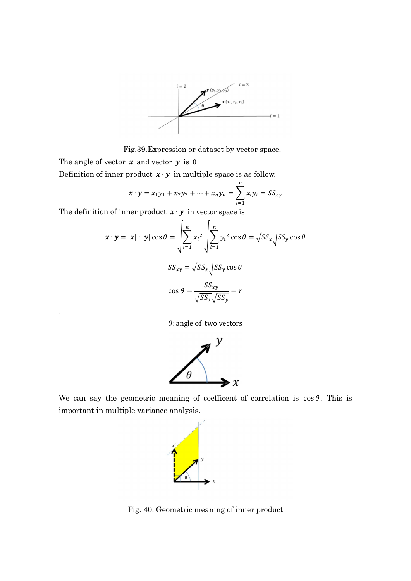

Fig.39.Expression or dataset by vector space.

The angle of vector  $x$  and vector  $y$  is  $\theta$ 

.

Definition of inner product  $\mathbf{x} \cdot \mathbf{y}$  in multiple space is as follow.

$$
\mathbf{x} \cdot \mathbf{y} = x_1 y_1 + x_2 y_2 + \dots + x_n y_n = \sum_{i=1}^n x_i y_i = S S_{xy}
$$

The definition of inner product  $\mathbf{x} \cdot \mathbf{y}$  in vector space is

$$
\mathbf{x} \cdot \mathbf{y} = |\mathbf{x}| \cdot |\mathbf{y}| \cos \theta = \sqrt{\sum_{i=1}^{n} x_i^2} \sqrt{\sum_{i=1}^{n} y_i^2 \cos \theta} = \sqrt{SS_x} \sqrt{SS_y} \cos \theta
$$

$$
SS_{xy} = \sqrt{SS_x} \sqrt{SS_y} \cos \theta
$$

$$
\cos \theta = \frac{SS_{xy}}{\sqrt{SS_x} \sqrt{SS_y}} = r
$$

 $\theta$ : angle of two vectors



We can say the geometric meaning of coefficent of correlation is  $cos \theta$ . This is important in multiple variance analysis.



Fig. 40. Geometric meaning of inner product